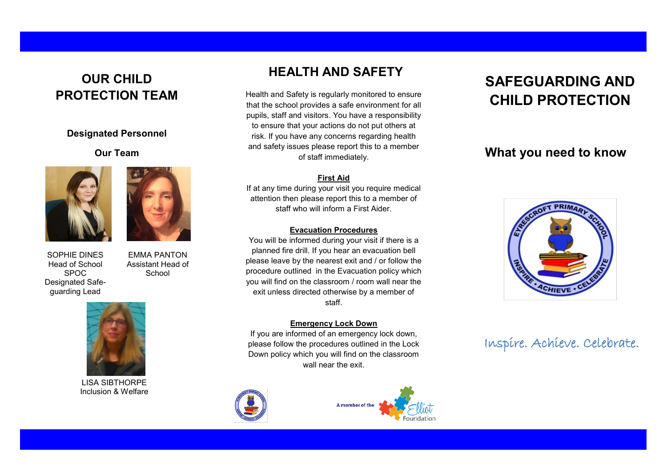## **OUR CHILD PROTECTION TEAM**

### **Designated Personnel**

### **Our Team**





EMMA PANTON Assistant Head of **School** 

SOPHIE DINES Head of School SPOC Designated Safeguarding Lead



LISA SIBTHORPE Inclusion & Welfare

## **HEALTH AND SAFETY**

Health and Safety is regularly monitored to ensure that the school provides a safe environment for all pupils, staff and visitors. You have a responsibility to ensure that your actions do not put others at risk. If you have any concerns regarding health and safety issues please report this to a member of staff immediately.

### **First Aid**

If at any time during your visit you require medical attention then please report this to a member of staff who will inform a First Aider.

### **Evacuation Procedures**

You will be informed during your visit if there is a planned fire drill. If you hear an evacuation bell please leave by the nearest exit and / or follow the procedure outlined in the Evacuation policy which you will find on the classroom / room wall near the exit unless directed otherwise by a member of staff.

### **Emergency Lock Down**

If you are informed of an emergency lock down, please follow the procedures outlined in the Lock Down policy which you will find on the classroom wall near the exit.



A member of the

# **SAFEGUARDING AND CHILD PROTECTION**

## **What you need to know**



Inspire. Achieve. Celebrate.